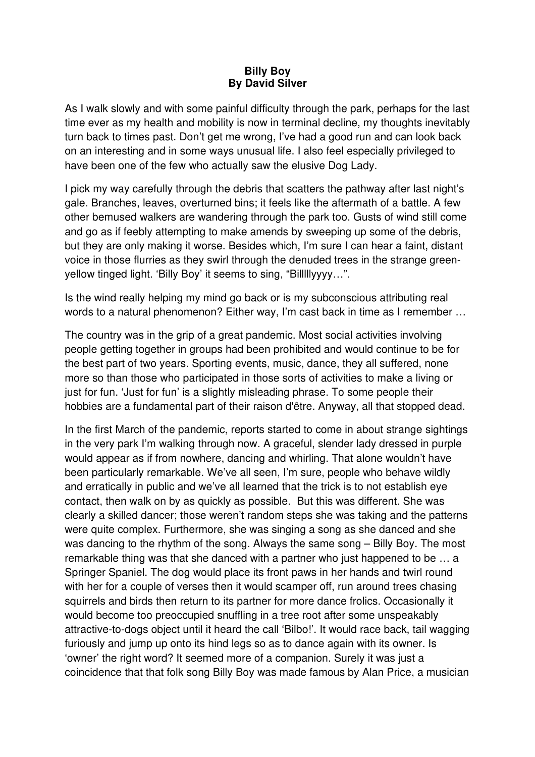## **Billy Boy By David Silver**

As I walk slowly and with some painful difficulty through the park, perhaps for the last time ever as my health and mobility is now in terminal decline, my thoughts inevitably turn back to times past. Don't get me wrong, I've had a good run and can look back on an interesting and in some ways unusual life. I also feel especially privileged to have been one of the few who actually saw the elusive Dog Lady.

I pick my way carefully through the debris that scatters the pathway after last night's gale. Branches, leaves, overturned bins; it feels like the aftermath of a battle. A few other bemused walkers are wandering through the park too. Gusts of wind still come and go as if feebly attempting to make amends by sweeping up some of the debris, but they are only making it worse. Besides which, I'm sure I can hear a faint, distant voice in those flurries as they swirl through the denuded trees in the strange greenyellow tinged light. 'Billy Boy' it seems to sing, "Billlllyyyy…".

Is the wind really helping my mind go back or is my subconscious attributing real words to a natural phenomenon? Either way, I'm cast back in time as I remember …

The country was in the grip of a great pandemic. Most social activities involving people getting together in groups had been prohibited and would continue to be for the best part of two years. Sporting events, music, dance, they all suffered, none more so than those who participated in those sorts of activities to make a living or just for fun. 'Just for fun' is a slightly misleading phrase. To some people their hobbies are a fundamental part of their raison d'être. Anyway, all that stopped dead.

In the first March of the pandemic, reports started to come in about strange sightings in the very park I'm walking through now. A graceful, slender lady dressed in purple would appear as if from nowhere, dancing and whirling. That alone wouldn't have been particularly remarkable. We've all seen, I'm sure, people who behave wildly and erratically in public and we've all learned that the trick is to not establish eye contact, then walk on by as quickly as possible. But this was different. She was clearly a skilled dancer; those weren't random steps she was taking and the patterns were quite complex. Furthermore, she was singing a song as she danced and she was dancing to the rhythm of the song. Always the same song – Billy Boy. The most remarkable thing was that she danced with a partner who just happened to be … a Springer Spaniel. The dog would place its front paws in her hands and twirl round with her for a couple of verses then it would scamper off, run around trees chasing squirrels and birds then return to its partner for more dance frolics. Occasionally it would become too preoccupied snuffling in a tree root after some unspeakably attractive-to-dogs object until it heard the call 'Bilbo!'. It would race back, tail wagging furiously and jump up onto its hind legs so as to dance again with its owner. Is 'owner' the right word? It seemed more of a companion. Surely it was just a coincidence that that folk song Billy Boy was made famous by Alan Price, a musician